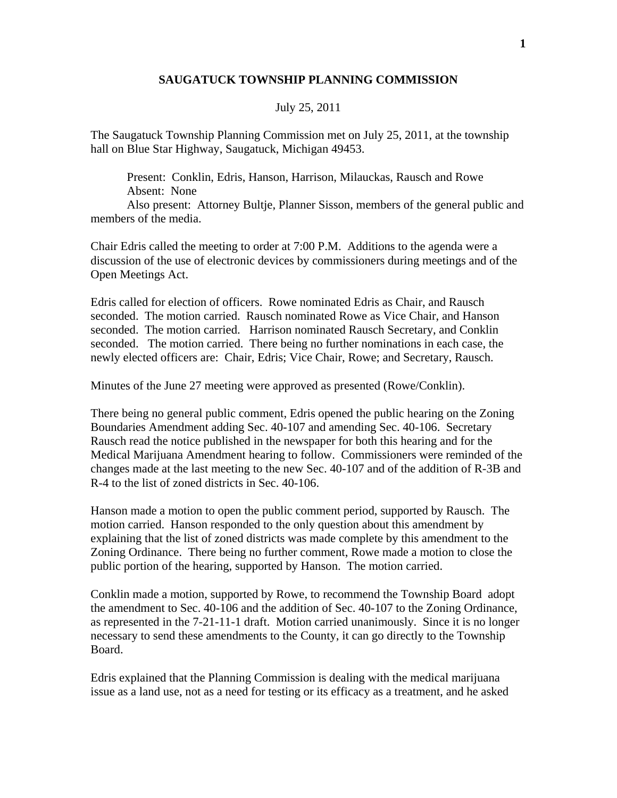## **SAUGATUCK TOWNSHIP PLANNING COMMISSION**

## July 25, 2011

The Saugatuck Township Planning Commission met on July 25, 2011, at the township hall on Blue Star Highway, Saugatuck, Michigan 49453.

 Present: Conklin, Edris, Hanson, Harrison, Milauckas, Rausch and Rowe Absent: None

 Also present: Attorney Bultje, Planner Sisson, members of the general public and members of the media.

Chair Edris called the meeting to order at 7:00 P.M. Additions to the agenda were a discussion of the use of electronic devices by commissioners during meetings and of the Open Meetings Act.

Edris called for election of officers. Rowe nominated Edris as Chair, and Rausch seconded. The motion carried. Rausch nominated Rowe as Vice Chair, and Hanson seconded. The motion carried. Harrison nominated Rausch Secretary, and Conklin seconded. The motion carried. There being no further nominations in each case, the newly elected officers are: Chair, Edris; Vice Chair, Rowe; and Secretary, Rausch.

Minutes of the June 27 meeting were approved as presented (Rowe/Conklin).

There being no general public comment, Edris opened the public hearing on the Zoning Boundaries Amendment adding Sec. 40-107 and amending Sec. 40-106. Secretary Rausch read the notice published in the newspaper for both this hearing and for the Medical Marijuana Amendment hearing to follow. Commissioners were reminded of the changes made at the last meeting to the new Sec. 40-107 and of the addition of R-3B and R-4 to the list of zoned districts in Sec. 40-106.

Hanson made a motion to open the public comment period, supported by Rausch. The motion carried. Hanson responded to the only question about this amendment by explaining that the list of zoned districts was made complete by this amendment to the Zoning Ordinance. There being no further comment, Rowe made a motion to close the public portion of the hearing, supported by Hanson. The motion carried.

Conklin made a motion, supported by Rowe, to recommend the Township Board adopt the amendment to Sec. 40-106 and the addition of Sec. 40-107 to the Zoning Ordinance, as represented in the 7-21-11-1 draft. Motion carried unanimously. Since it is no longer necessary to send these amendments to the County, it can go directly to the Township Board.

Edris explained that the Planning Commission is dealing with the medical marijuana issue as a land use, not as a need for testing or its efficacy as a treatment, and he asked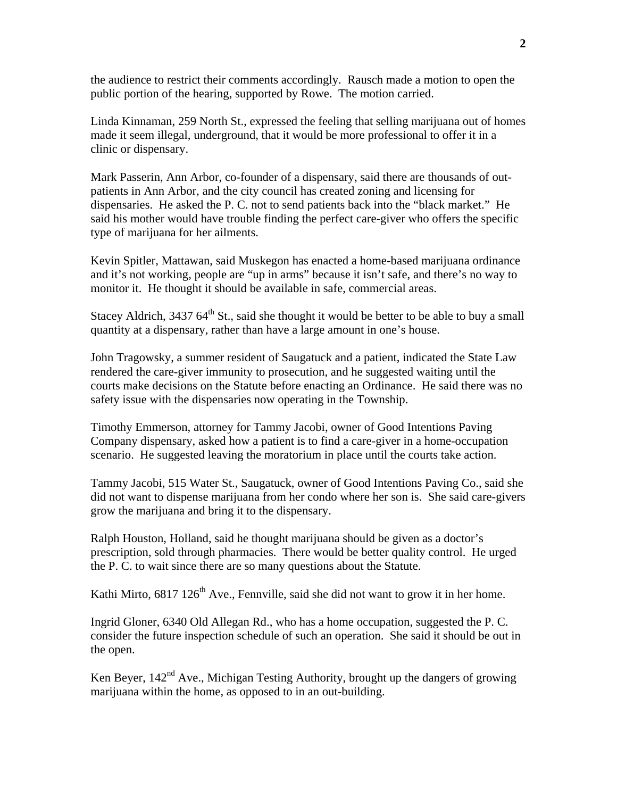the audience to restrict their comments accordingly. Rausch made a motion to open the public portion of the hearing, supported by Rowe. The motion carried.

Linda Kinnaman, 259 North St., expressed the feeling that selling marijuana out of homes made it seem illegal, underground, that it would be more professional to offer it in a clinic or dispensary.

Mark Passerin, Ann Arbor, co-founder of a dispensary, said there are thousands of outpatients in Ann Arbor, and the city council has created zoning and licensing for dispensaries. He asked the P. C. not to send patients back into the "black market." He said his mother would have trouble finding the perfect care-giver who offers the specific type of marijuana for her ailments.

Kevin Spitler, Mattawan, said Muskegon has enacted a home-based marijuana ordinance and it's not working, people are "up in arms" because it isn't safe, and there's no way to monitor it. He thought it should be available in safe, commercial areas.

Stacey Aldrich,  $343764^{\text{th}}$  St., said she thought it would be better to be able to buy a small quantity at a dispensary, rather than have a large amount in one's house.

John Tragowsky, a summer resident of Saugatuck and a patient, indicated the State Law rendered the care-giver immunity to prosecution, and he suggested waiting until the courts make decisions on the Statute before enacting an Ordinance. He said there was no safety issue with the dispensaries now operating in the Township.

Timothy Emmerson, attorney for Tammy Jacobi, owner of Good Intentions Paving Company dispensary, asked how a patient is to find a care-giver in a home-occupation scenario. He suggested leaving the moratorium in place until the courts take action.

Tammy Jacobi, 515 Water St., Saugatuck, owner of Good Intentions Paving Co., said she did not want to dispense marijuana from her condo where her son is. She said care-givers grow the marijuana and bring it to the dispensary.

Ralph Houston, Holland, said he thought marijuana should be given as a doctor's prescription, sold through pharmacies. There would be better quality control. He urged the P. C. to wait since there are so many questions about the Statute.

Kathi Mirto,  $6817 126<sup>th</sup>$  Ave., Fennville, said she did not want to grow it in her home.

Ingrid Gloner, 6340 Old Allegan Rd., who has a home occupation, suggested the P. C. consider the future inspection schedule of such an operation. She said it should be out in the open.

Ken Beyer, 142<sup>nd</sup> Ave., Michigan Testing Authority, brought up the dangers of growing marijuana within the home, as opposed to in an out-building.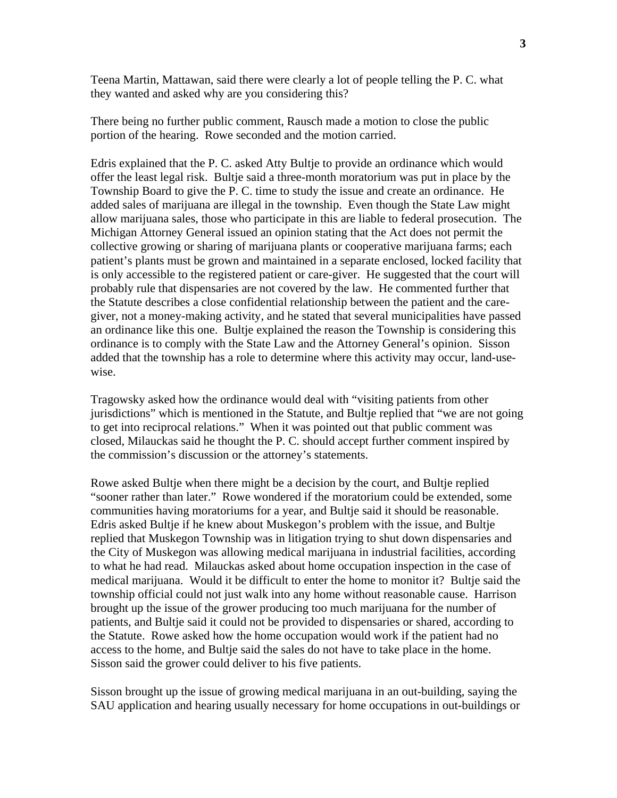Teena Martin, Mattawan, said there were clearly a lot of people telling the P. C. what they wanted and asked why are you considering this?

There being no further public comment, Rausch made a motion to close the public portion of the hearing. Rowe seconded and the motion carried.

Edris explained that the P. C. asked Atty Bultje to provide an ordinance which would offer the least legal risk. Bultje said a three-month moratorium was put in place by the Township Board to give the P. C. time to study the issue and create an ordinance. He added sales of marijuana are illegal in the township. Even though the State Law might allow marijuana sales, those who participate in this are liable to federal prosecution. The Michigan Attorney General issued an opinion stating that the Act does not permit the collective growing or sharing of marijuana plants or cooperative marijuana farms; each patient's plants must be grown and maintained in a separate enclosed, locked facility that is only accessible to the registered patient or care-giver. He suggested that the court will probably rule that dispensaries are not covered by the law. He commented further that the Statute describes a close confidential relationship between the patient and the caregiver, not a money-making activity, and he stated that several municipalities have passed an ordinance like this one. Bultje explained the reason the Township is considering this ordinance is to comply with the State Law and the Attorney General's opinion. Sisson added that the township has a role to determine where this activity may occur, land-usewise.

Tragowsky asked how the ordinance would deal with "visiting patients from other jurisdictions" which is mentioned in the Statute, and Bultje replied that "we are not going to get into reciprocal relations." When it was pointed out that public comment was closed, Milauckas said he thought the P. C. should accept further comment inspired by the commission's discussion or the attorney's statements.

Rowe asked Bultje when there might be a decision by the court, and Bultje replied "sooner rather than later." Rowe wondered if the moratorium could be extended, some communities having moratoriums for a year, and Bultje said it should be reasonable. Edris asked Bultje if he knew about Muskegon's problem with the issue, and Bultje replied that Muskegon Township was in litigation trying to shut down dispensaries and the City of Muskegon was allowing medical marijuana in industrial facilities, according to what he had read. Milauckas asked about home occupation inspection in the case of medical marijuana. Would it be difficult to enter the home to monitor it? Bultje said the township official could not just walk into any home without reasonable cause. Harrison brought up the issue of the grower producing too much marijuana for the number of patients, and Bultje said it could not be provided to dispensaries or shared, according to the Statute. Rowe asked how the home occupation would work if the patient had no access to the home, and Bultje said the sales do not have to take place in the home. Sisson said the grower could deliver to his five patients.

Sisson brought up the issue of growing medical marijuana in an out-building, saying the SAU application and hearing usually necessary for home occupations in out-buildings or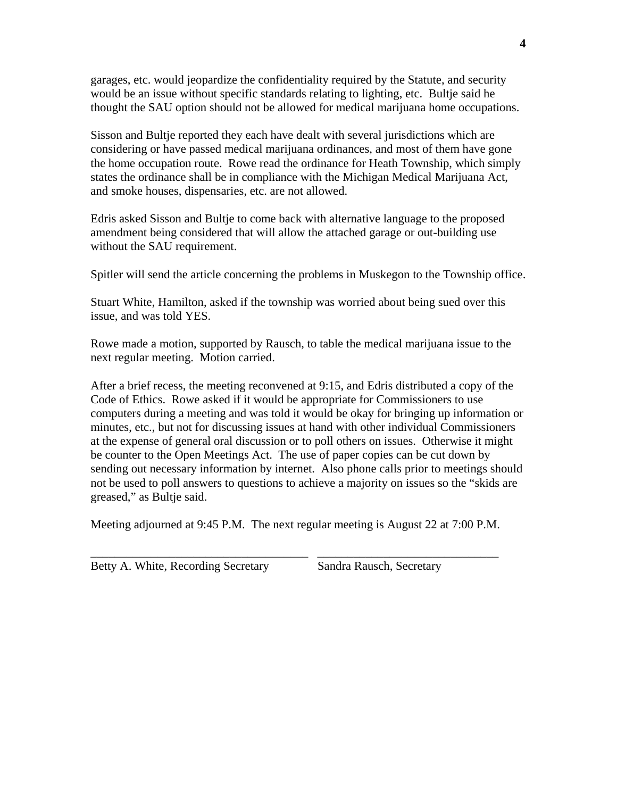garages, etc. would jeopardize the confidentiality required by the Statute, and security would be an issue without specific standards relating to lighting, etc. Bultje said he thought the SAU option should not be allowed for medical marijuana home occupations.

Sisson and Bultje reported they each have dealt with several jurisdictions which are considering or have passed medical marijuana ordinances, and most of them have gone the home occupation route. Rowe read the ordinance for Heath Township, which simply states the ordinance shall be in compliance with the Michigan Medical Marijuana Act, and smoke houses, dispensaries, etc. are not allowed.

Edris asked Sisson and Bultje to come back with alternative language to the proposed amendment being considered that will allow the attached garage or out-building use without the SAU requirement.

Spitler will send the article concerning the problems in Muskegon to the Township office.

Stuart White, Hamilton, asked if the township was worried about being sued over this issue, and was told YES.

Rowe made a motion, supported by Rausch, to table the medical marijuana issue to the next regular meeting. Motion carried.

After a brief recess, the meeting reconvened at 9:15, and Edris distributed a copy of the Code of Ethics. Rowe asked if it would be appropriate for Commissioners to use computers during a meeting and was told it would be okay for bringing up information or minutes, etc., but not for discussing issues at hand with other individual Commissioners at the expense of general oral discussion or to poll others on issues. Otherwise it might be counter to the Open Meetings Act. The use of paper copies can be cut down by sending out necessary information by internet. Also phone calls prior to meetings should not be used to poll answers to questions to achieve a majority on issues so the "skids are greased," as Bultje said.

Meeting adjourned at 9:45 P.M. The next regular meeting is August 22 at 7:00 P.M.

\_\_\_\_\_\_\_\_\_\_\_\_\_\_\_\_\_\_\_\_\_\_\_\_\_\_\_\_\_\_\_\_\_\_\_\_ \_\_\_\_\_\_\_\_\_\_\_\_\_\_\_\_\_\_\_\_\_\_\_\_\_\_\_\_\_\_

|  | Betty A. White, Recording Secretary |  |
|--|-------------------------------------|--|
|  |                                     |  |

ry Sandra Rausch, Secretary